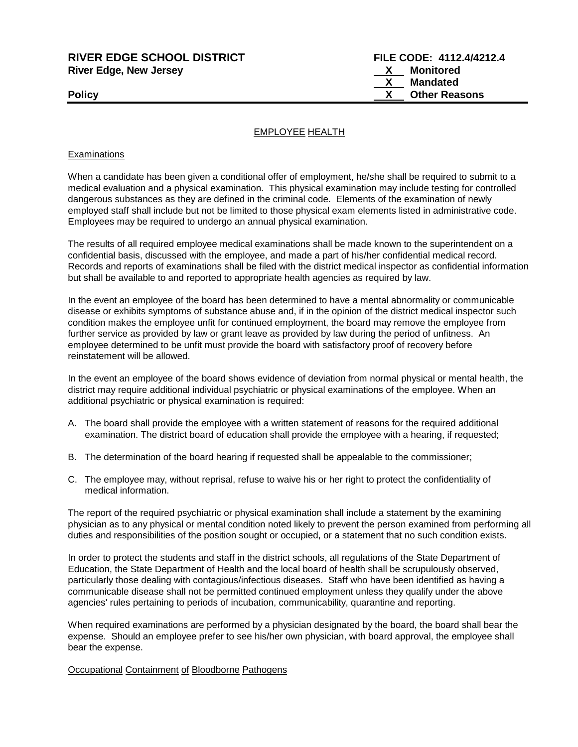# **RIVER EDGE SCHOOL DISTRICT FILE CODE: 4112.4/4212.4 River Edge, New Jersey X Monitored**

 **X Mandated Policy CONSERVING CONSERVANCE CONSERVANCE CONSERVANCE CONSERVANCE CONSERVANCE CONSERVANCE CONSERVANCE CONSERVANCE CONSERVANCE CONSERVANCE CONSERVANCE CONSERVANCE CONSERVANCE CONSERVANCE CONSERVANCE CONSERVANCE CONSERVAN** 

# EMPLOYEE HEALTH

## **Examinations**

When a candidate has been given a conditional offer of employment, he/she shall be required to submit to a medical evaluation and a physical examination. This physical examination may include testing for controlled dangerous substances as they are defined in the criminal code. Elements of the examination of newly employed staff shall include but not be limited to those physical exam elements listed in administrative code. Employees may be required to undergo an annual physical examination.

The results of all required employee medical examinations shall be made known to the superintendent on a confidential basis, discussed with the employee, and made a part of his/her confidential medical record. Records and reports of examinations shall be filed with the district medical inspector as confidential information but shall be available to and reported to appropriate health agencies as required by law.

In the event an employee of the board has been determined to have a mental abnormality or communicable disease or exhibits symptoms of substance abuse and, if in the opinion of the district medical inspector such condition makes the employee unfit for continued employment, the board may remove the employee from further service as provided by law or grant leave as provided by law during the period of unfitness. An employee determined to be unfit must provide the board with satisfactory proof of recovery before reinstatement will be allowed.

In the event an employee of the board shows evidence of deviation from normal physical or mental health, the district may require additional individual psychiatric or physical examinations of the employee. When an additional psychiatric or physical examination is required:

- A. The board shall provide the employee with a written statement of reasons for the required additional examination. The district board of education shall provide the employee with a hearing, if requested;
- B. The determination of the board hearing if requested shall be appealable to the commissioner;
- C. The employee may, without reprisal, refuse to waive his or her right to protect the confidentiality of medical information.

The report of the required psychiatric or physical examination shall include a statement by the examining physician as to any physical or mental condition noted likely to prevent the person examined from performing all duties and responsibilities of the position sought or occupied, or a statement that no such condition exists.

In order to protect the students and staff in the district schools, all regulations of the State Department of Education, the State Department of Health and the local board of health shall be scrupulously observed, particularly those dealing with contagious/infectious diseases. Staff who have been identified as having a communicable disease shall not be permitted continued employment unless they qualify under the above agencies' rules pertaining to periods of incubation, communicability, quarantine and reporting.

When required examinations are performed by a physician designated by the board, the board shall bear the expense. Should an employee prefer to see his/her own physician, with board approval, the employee shall bear the expense.

Occupational Containment of Bloodborne Pathogens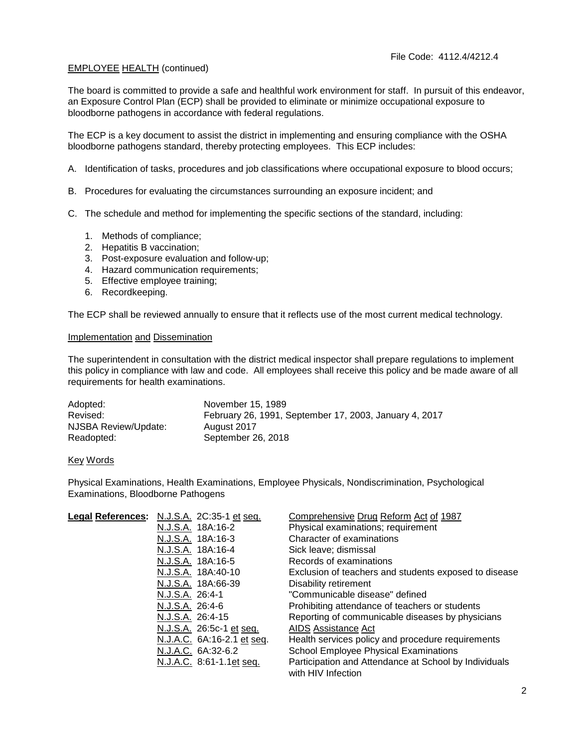## EMPLOYEE HEALTH (continued)

The board is committed to provide a safe and healthful work environment for staff. In pursuit of this endeavor, an Exposure Control Plan (ECP) shall be provided to eliminate or minimize occupational exposure to bloodborne pathogens in accordance with federal regulations.

The ECP is a key document to assist the district in implementing and ensuring compliance with the OSHA bloodborne pathogens standard, thereby protecting employees. This ECP includes:

A. Identification of tasks, procedures and job classifications where occupational exposure to blood occurs;

- B. Procedures for evaluating the circumstances surrounding an exposure incident; and
- C. The schedule and method for implementing the specific sections of the standard, including:
	- 1. Methods of compliance;
	- 2. Hepatitis B vaccination;
	- 3. Post-exposure evaluation and follow-up;
	- 4. Hazard communication requirements;
	- 5. Effective employee training;
	- 6. Recordkeeping.

The ECP shall be reviewed annually to ensure that it reflects use of the most current medical technology.

## Implementation and Dissemination

The superintendent in consultation with the district medical inspector shall prepare regulations to implement this policy in compliance with law and code. All employees shall receive this policy and be made aware of all requirements for health examinations.

| Adopted:             | November 15, 1989                                      |
|----------------------|--------------------------------------------------------|
| Revised:             | February 26, 1991, September 17, 2003, January 4, 2017 |
| NJSBA Review/Update: | August 2017                                            |
| Readopted:           | September 26, 2018                                     |

#### Key Words

Physical Examinations, Health Examinations, Employee Physicals, Nondiscrimination, Psychological Examinations, Bloodborne Pathogens

| Legal References: N.J.S.A. 2C:35-1 et seq. | Comprehensive Drug Reform Act of 1987                                       |
|--------------------------------------------|-----------------------------------------------------------------------------|
| N.J.S.A. 18A:16-2                          | Physical examinations; requirement                                          |
| N.J.S.A. 18A:16-3                          | Character of examinations                                                   |
| N.J.S.A. 18A:16-4                          | Sick leave; dismissal                                                       |
| N.J.S.A. 18A:16-5                          | Records of examinations                                                     |
| N.J.S.A. 18A:40-10                         | Exclusion of teachers and students exposed to disease                       |
| N.J.S.A. 18A:66-39                         | Disability retirement                                                       |
| N.J.S.A. 26:4-1                            | "Communicable disease" defined                                              |
| N.J.S.A. 26:4-6                            | Prohibiting attendance of teachers or students                              |
| N.J.S.A. 26:4-15                           | Reporting of communicable diseases by physicians                            |
| N.J.S.A. 26:5c-1 et seq.                   | <b>AIDS Assistance Act</b>                                                  |
| N.J.A.C. 6A:16-2.1 et seq.                 | Health services policy and procedure requirements                           |
| N.J.A.C. 6A:32-6.2                         | School Employee Physical Examinations                                       |
| N.J.A.C. 8:61-1.1et seq.                   | Participation and Attendance at School by Individuals<br>with HIV Infection |